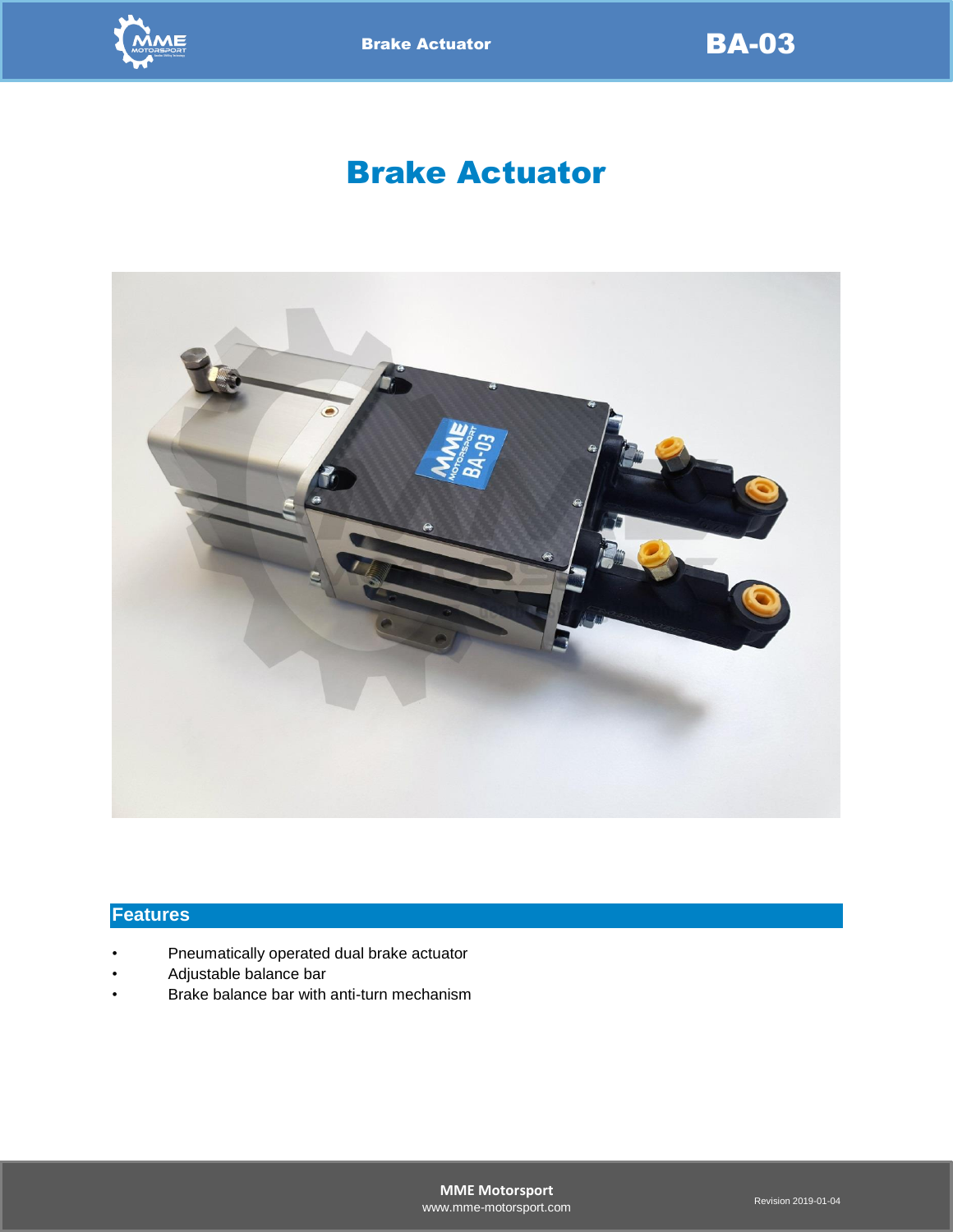

# Brake Actuator



## **Features**

- Pneumatically operated dual brake actuator
- Adjustable balance bar
- Brake balance bar with anti-turn mechanism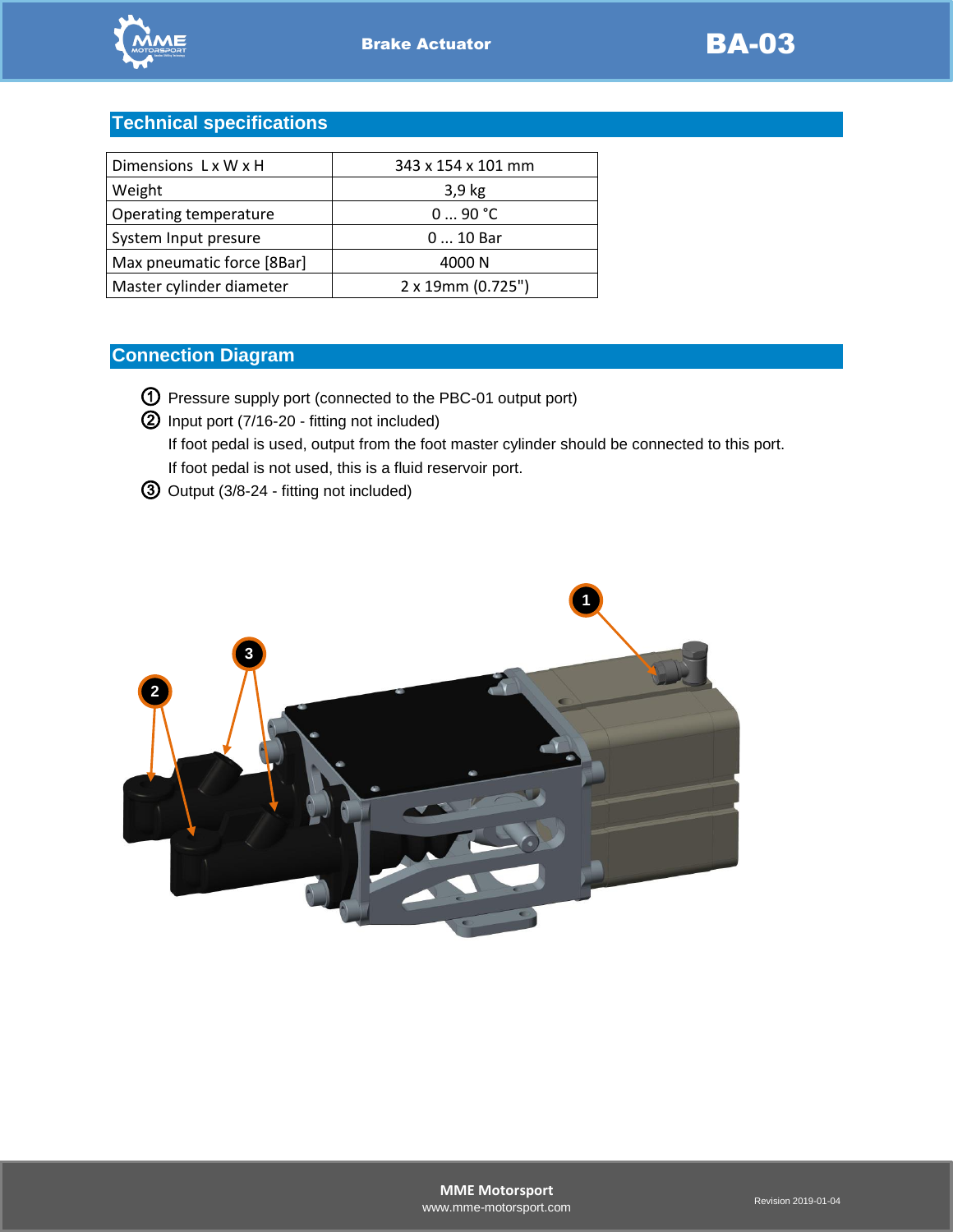

## **Technical specifications**

| Dimensions LxWxH           | 343 x 154 x 101 mm |
|----------------------------|--------------------|
| Weight                     | $3,9$ kg           |
| Operating temperature      | 090 °C             |
| System Input presure       | $010$ Bar          |
| Max pneumatic force [8Bar] | 4000 N             |
| Master cylinder diameter   | 2 x 19mm (0.725")  |

#### **Connection Diagram**

- ① Pressure supply port (connected to the PBC-01 output port)
- ② Input port (7/16-20 fitting not included)

If foot pedal is used, output from the foot master cylinder should be connected to this port. If foot pedal is not used, this is a fluid reservoir port.

③ Output (3/8-24 - fitting not included)

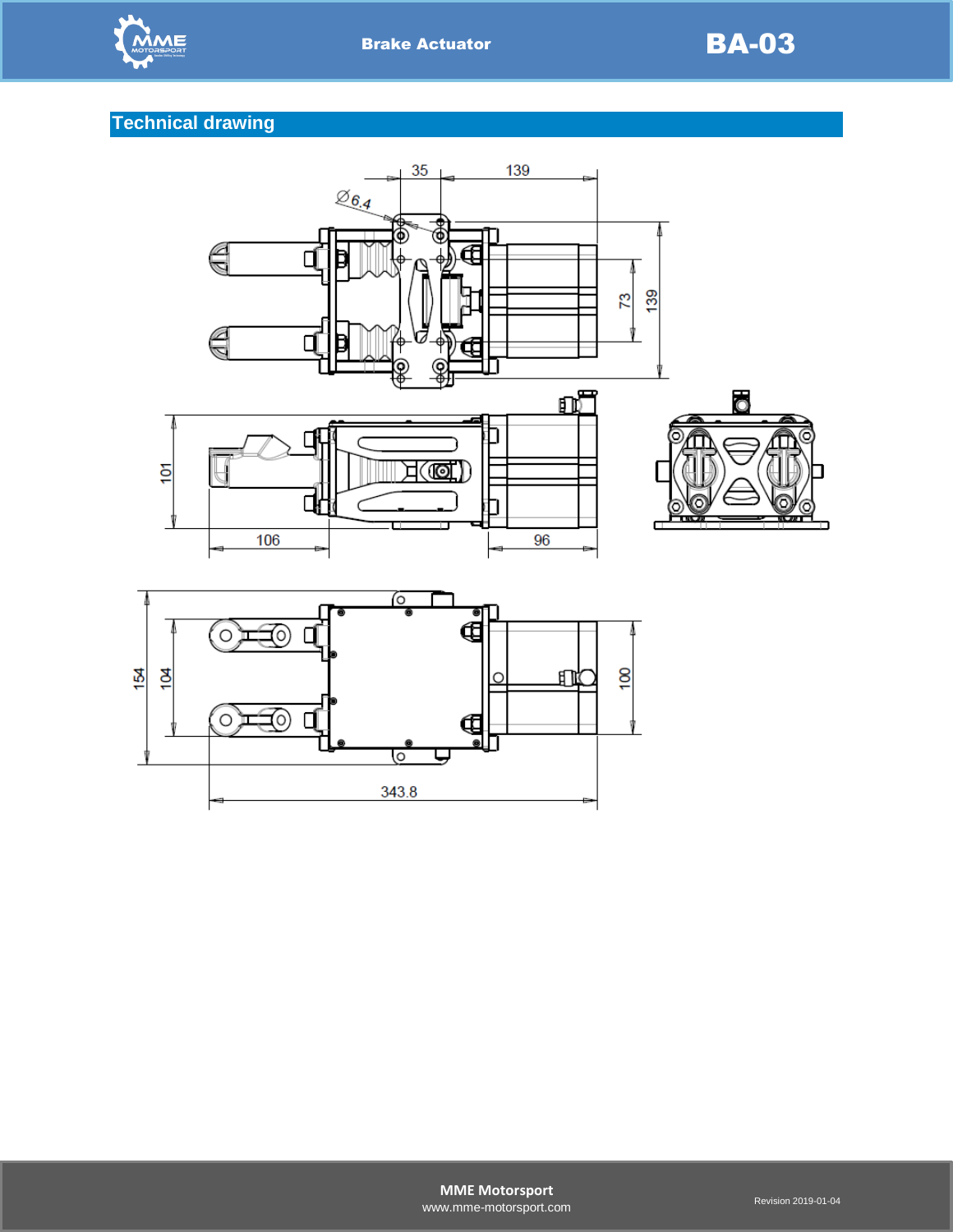

Brake Actuator **BA-03** 

## **Technical drawing**